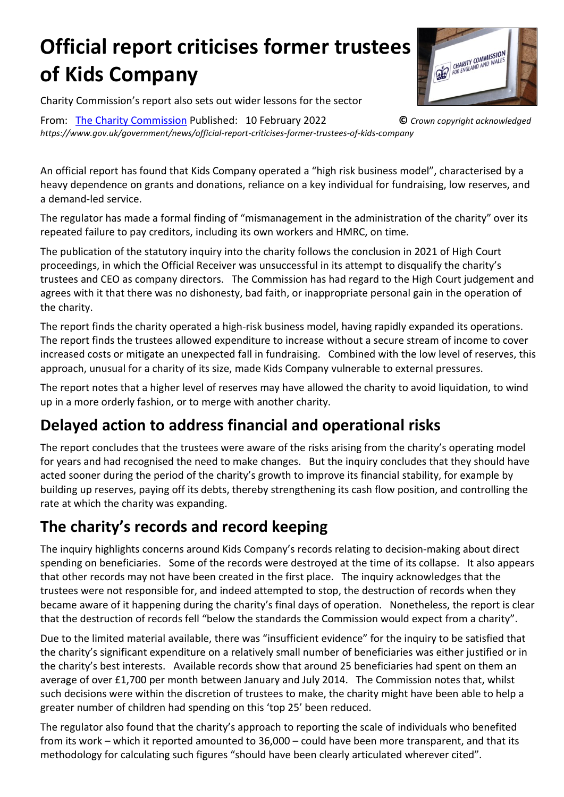# **Official report criticises former trustees of Kids Company**



Charity Commission's report also sets out wider lessons for the sector

From: The Charity [Commission](https://www.gov.uk/government/organisations/charity-commission) Published: 10 February 2022 **©** *Crown copyright acknowledged https://www.gov.uk/government/news/official-report-criticises-former-trustees-of-kids-company*

An official report has found that Kids Company operated a "high risk business model", characterised by a heavy dependence on grants and donations, reliance on a key individual for fundraising, low reserves, and a demand-led service.

The regulator has made a formal finding of "mismanagement in the administration of the charity" over its repeated failure to pay creditors, including its own workers and HMRC, on time.

The publication of the statutory inquiry into the charity follows the conclusion in 2021 of High Court proceedings, in which the Official Receiver was unsuccessful in its attempt to disqualify the charity's trustees and CEO as company directors. The Commission has had regard to the High Court judgement and agrees with it that there was no dishonesty, bad faith, or inappropriate personal gain in the operation of the charity.

The report finds the charity operated a high-risk business model, having rapidly expanded its operations. The report finds the trustees allowed expenditure to increase without a secure stream of income to cover increased costs or mitigate an unexpected fall in fundraising. Combined with the low level of reserves, this approach, unusual for a charity of its size, made Kids Company vulnerable to external pressures.

The report notes that a higher level of reserves may have allowed the charity to avoid liquidation, to wind up in a more orderly fashion, or to merge with another charity.

## **Delayed action to address financial and operational risks**

The report concludes that the trustees were aware of the risks arising from the charity's operating model for years and had recognised the need to make changes. But the inquiry concludes that they should have acted sooner during the period of the charity's growth to improve its financial stability, for example by building up reserves, paying off its debts, thereby strengthening its cash flow position, and controlling the rate at which the charity was expanding.

# **The charity's records and record keeping**

The inquiry highlights concerns around Kids Company's records relating to decision-making about direct spending on beneficiaries. Some of the records were destroyed at the time of its collapse. It also appears that other records may not have been created in the first place. The inquiry acknowledges that the trustees were not responsible for, and indeed attempted to stop, the destruction of records when they became aware of it happening during the charity's final days of operation. Nonetheless, the report is clear that the destruction of records fell "below the standards the Commission would expect from a charity".

Due to the limited material available, there was "insufficient evidence" for the inquiry to be satisfied that the charity's significant expenditure on a relatively small number of beneficiaries was either justified or in the charity's best interests. Available records show that around 25 beneficiaries had spent on them an average of over £1,700 per month between January and July 2014. The Commission notes that, whilst such decisions were within the discretion of trustees to make, the charity might have been able to help a greater number of children had spending on this 'top 25' been reduced.

The regulator also found that the charity's approach to reporting the scale of individuals who benefited from its work – which it reported amounted to 36,000 – could have been more transparent, and that its methodology for calculating such figures "should have been clearly articulated wherever cited".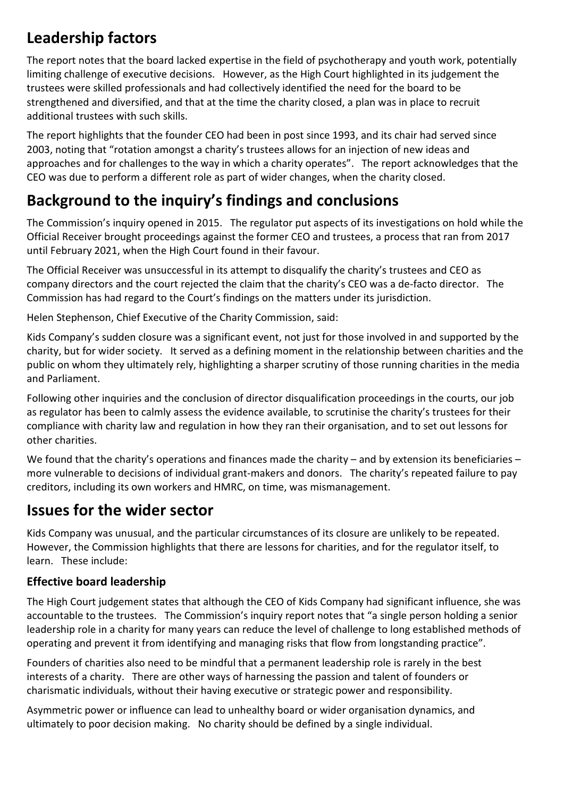# **Leadership factors**

The report notes that the board lacked expertise in the field of psychotherapy and youth work, potentially limiting challenge of executive decisions. However, as the High Court highlighted in its judgement the trustees were skilled professionals and had collectively identified the need for the board to be strengthened and diversified, and that at the time the charity closed, a plan was in place to recruit additional trustees with such skills.

The report highlights that the founder CEO had been in post since 1993, and its chair had served since 2003, noting that "rotation amongst a charity's trustees allows for an injection of new ideas and approaches and for challenges to the way in which a charity operates". The report acknowledges that the CEO was due to perform a different role as part of wider changes, when the charity closed.

# **Background to the inquiry's findings and conclusions**

The Commission's inquiry opened in 2015. The regulator put aspects of its investigations on hold while the Official Receiver brought proceedings against the former CEO and trustees, a process that ran from 2017 until February 2021, when the High Court found in their favour.

The Official Receiver was unsuccessful in its attempt to disqualify the charity's trustees and CEO as company directors and the court rejected the claim that the charity's CEO was a de-facto director. The Commission has had regard to the Court's findings on the matters under its jurisdiction.

Helen Stephenson, Chief Executive of the Charity Commission, said:

Kids Company's sudden closure was a significant event, not just for those involved in and supported by the charity, but for wider society. It served as a defining moment in the relationship between charities and the public on whom they ultimately rely, highlighting a sharper scrutiny of those running charities in the media and Parliament.

Following other inquiries and the conclusion of director disqualification proceedings in the courts, our job as regulator has been to calmly assess the evidence available, to scrutinise the charity's trustees for their compliance with charity law and regulation in how they ran their organisation, and to set out lessons for other charities.

We found that the charity's operations and finances made the charity – and by extension its beneficiaries – more vulnerable to decisions of individual grant-makers and donors. The charity's repeated failure to pay creditors, including its own workers and HMRC, on time, was mismanagement.

### **Issues for the wider sector**

Kids Company was unusual, and the particular circumstances of its closure are unlikely to be repeated. However, the Commission highlights that there are lessons for charities, and for the regulator itself, to learn. These include:

### **Effective board leadership**

The High Court judgement states that although the CEO of Kids Company had significant influence, she was accountable to the trustees. The Commission's inquiry report notes that "a single person holding a senior leadership role in a charity for many years can reduce the level of challenge to long established methods of operating and prevent it from identifying and managing risks that flow from longstanding practice".

Founders of charities also need to be mindful that a permanent leadership role is rarely in the best interests of a charity. There are other ways of harnessing the passion and talent of founders or charismatic individuals, without their having executive or strategic power and responsibility.

Asymmetric power or influence can lead to unhealthy board or wider organisation dynamics, and ultimately to poor decision making. No charity should be defined by a single individual.